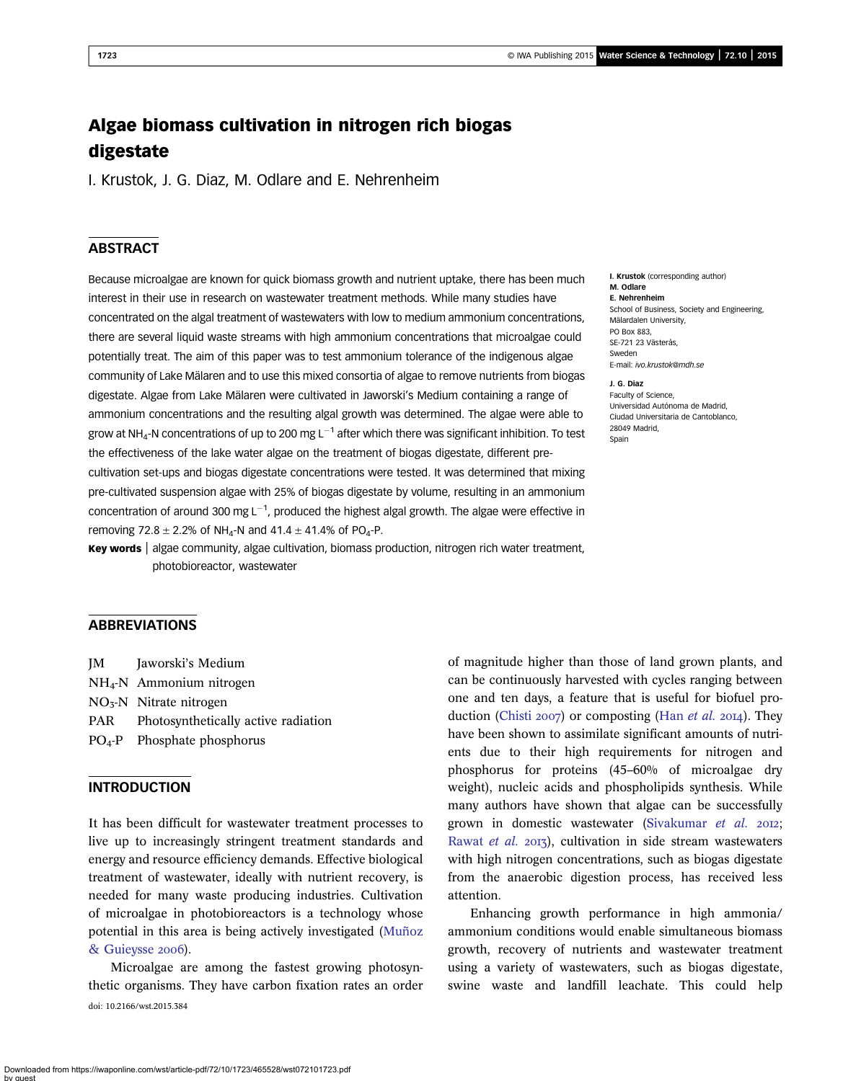# Algae biomass cultivation in nitrogen rich biogas digestate

I. Krustok, J. G. Diaz, M. Odlare and E. Nehrenheim

## **ABSTRACT**

Because microalgae are known for quick biomass growth and nutrient uptake, there has been much interest in their use in research on wastewater treatment methods. While many studies have concentrated on the algal treatment of wastewaters with low to medium ammonium concentrations, there are several liquid waste streams with high ammonium concentrations that microalgae could potentially treat. The aim of this paper was to test ammonium tolerance of the indigenous algae community of Lake Mälaren and to use this mixed consortia of algae to remove nutrients from biogas digestate. Algae from Lake Mälaren were cultivated in Jaworski's Medium containing a range of ammonium concentrations and the resulting algal growth was determined. The algae were able to grow at NH<sub>4</sub>-N concentrations of up to 200 mg  $L^{-1}$  after which there was significant inhibition. To test the effectiveness of the lake water algae on the treatment of biogas digestate, different precultivation set-ups and biogas digestate concentrations were tested. It was determined that mixing

pre-cultivated suspension algae with 25% of biogas digestate by volume, resulting in an ammonium concentration of around 300 mg  $L^{-1}$ , produced the highest algal growth. The algae were effective in removing 72.8  $\pm$  2.2% of NH<sub>4</sub>-N and 41.4  $\pm$  41.4% of PO<sub>4</sub>-P.

Key words | algae community, algae cultivation, biomass production, nitrogen rich water treatment, photobioreactor, wastewater

#### I. Krustok (corresponding author) M. Odlare E. Nehrenheim School of Business, Society and Engineering, Mälardalen University, PO Box 883, SE-721 23 Västerås, Sweden E-mail: [ivo.krustok@mdh.se](mailto:ivo.krustok@mdh.se)

J. G. Diaz Faculty of Science, Universidad Autónoma de Madrid, Ciudad Universitaria de Cantoblanco, 28049 Madrid, Spain

### **ABBREVIATIONS**

JM Jaworski's Medium

NH4-N Ammonium nitrogen

NO3-N Nitrate nitrogen

PAR Photosynthetically active radiation

PO4-P Phosphate phosphorus

### INTRODUCTION

It has been difficult for wastewater treatment processes to live up to increasingly stringent treatment standards and energy and resource efficiency demands. Effective biological treatment of wastewater, ideally with nutrient recovery, is needed for many waste producing industries. Cultivation of microalgae in photobioreactors is a technology whose potential in this area is being actively investigated [\(Muñoz](#page-6-0) [& Guieysse](#page-6-0) 2006).

Microalgae are among the fastest growing photosynthetic organisms. They have carbon fixation rates an order doi: 10.2166/wst.2015.384

of magnitude higher than those of land grown plants, and can be continuously harvested with cycles ranging between one and ten days, a feature that is useful for biofuel pro-duction ([Chisti](#page-6-0)  $2007$ ) or composting (Han [et al.](#page-6-0)  $2014$ ). They have been shown to assimilate significant amounts of nutrients due to their high requirements for nitrogen and phosphorus for proteins (45–60% of microalgae dry weight), nucleic acids and phospholipids synthesis. While many authors have shown that algae can be successfully grown in domestic wastewater ([Sivakumar](#page-6-0) et al. 2012; [Rawat](#page-6-0) et al. 2013), cultivation in side stream wastewaters with high nitrogen concentrations, such as biogas digestate from the anaerobic digestion process, has received less attention.

Enhancing growth performance in high ammonia/ ammonium conditions would enable simultaneous biomass growth, recovery of nutrients and wastewater treatment using a variety of wastewaters, such as biogas digestate, swine waste and landfill leachate. This could help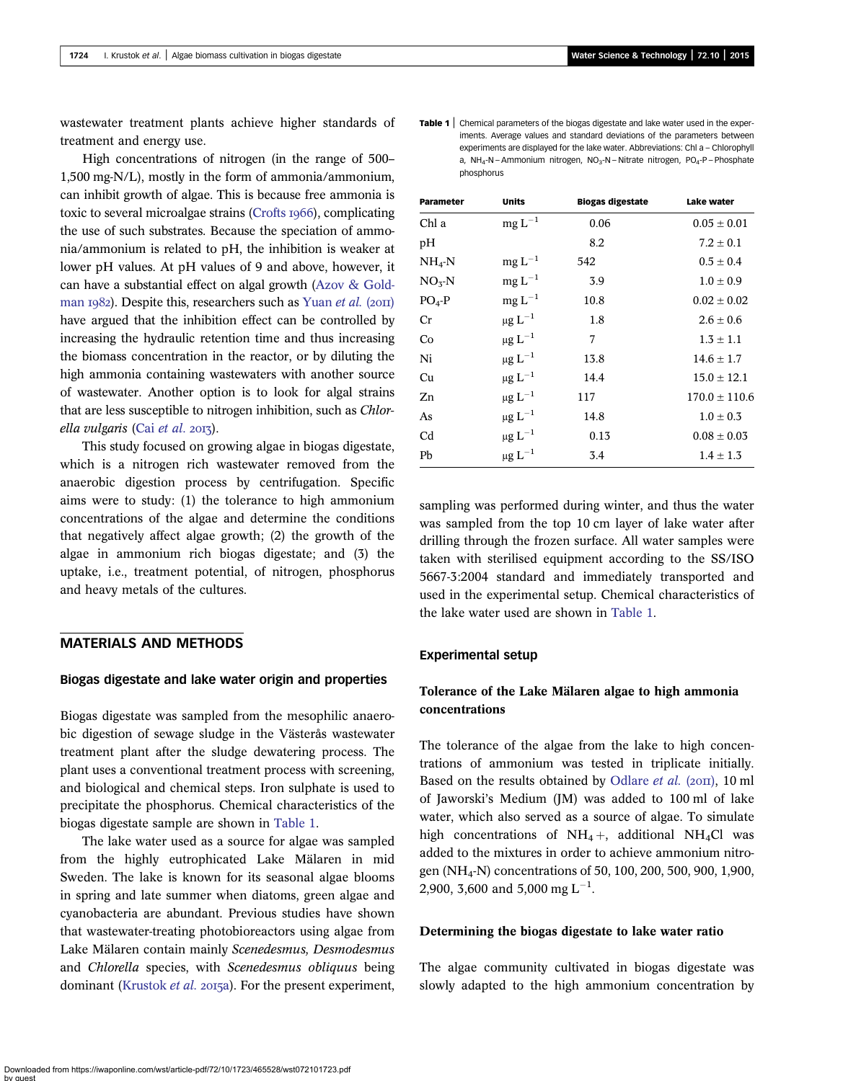wastewater treatment plants achieve higher standards of treatment and energy use.

High concentrations of nitrogen (in the range of 500– 1,500 mg-N/L), mostly in the form of ammonia/ammonium, can inhibit growth of algae. This is because free ammonia is toxic to several microalgae strains ([Crofts](#page-6-0) 1966), complicating the use of such substrates. Because the speciation of ammonia/ammonium is related to pH, the inhibition is weaker at lower pH values. At pH values of 9 and above, however, it can have a substantial effect on algal growth [\(Azov & Gold](#page-6-0)[man](#page-6-0)  $1982$ ). Despite this, researchers such as [Yuan](#page-6-0) et al. (2011) have argued that the inhibition effect can be controlled by increasing the hydraulic retention time and thus increasing the biomass concentration in the reactor, or by diluting the high ammonia containing wastewaters with another source of wastewater. Another option is to look for algal strains that are less susceptible to nitrogen inhibition, such as Chlorella vulgaris (Cai [et al](#page-6-0). 2013).

This study focused on growing algae in biogas digestate, which is a nitrogen rich wastewater removed from the anaerobic digestion process by centrifugation. Specific aims were to study: (1) the tolerance to high ammonium concentrations of the algae and determine the conditions that negatively affect algae growth; (2) the growth of the algae in ammonium rich biogas digestate; and (3) the uptake, i.e., treatment potential, of nitrogen, phosphorus and heavy metals of the cultures.

### MATERIALS AND METHODS

#### Biogas digestate and lake water origin and properties

Biogas digestate was sampled from the mesophilic anaerobic digestion of sewage sludge in the Västerås wastewater treatment plant after the sludge dewatering process. The plant uses a conventional treatment process with screening, and biological and chemical steps. Iron sulphate is used to precipitate the phosphorus. Chemical characteristics of the biogas digestate sample are shown in Table 1.

The lake water used as a source for algae was sampled from the highly eutrophicated Lake Mälaren in mid Sweden. The lake is known for its seasonal algae blooms in spring and late summer when diatoms, green algae and cyanobacteria are abundant. Previous studies have shown that wastewater-treating photobioreactors using algae from Lake Mälaren contain mainly Scenedesmus, Desmodesmus and Chlorella species, with Scenedesmus obliquus being dominant [\(Krustok](#page-6-0) et al. 2015a). For the present experiment,

| Table 1   Chemical parameters of the biogas digestate and lake water used in the exper-                          |  |  |
|------------------------------------------------------------------------------------------------------------------|--|--|
| iments. Average values and standard deviations of the parameters between                                         |  |  |
| experiments are displayed for the lake water. Abbreviations: Chl a - Chlorophyll                                 |  |  |
| a. NH <sub>4</sub> -N – Ammonium nitrogen. NO <sub>3</sub> -N – Nitrate nitrogen. PO <sub>4</sub> -P – Phosphate |  |  |
| phosphorus                                                                                                       |  |  |

| Parameter | Units              | <b>Biogas digestate</b> | Lake water        |
|-----------|--------------------|-------------------------|-------------------|
| Chl a     | $mg L^{-1}$        | 0.06                    | $0.05 \pm 0.01$   |
| pH        |                    | 8.2                     | $7.2 \pm 0.1$     |
| $NH_4-N$  | $mg L^{-1}$        | 542                     | $0.5 \pm 0.4$     |
| $NO5-N$   | $mg L^{-1}$        | 3.9                     | $1.0 \pm 0.9$     |
| $PO4-P$   | $\rm mg \, L^{-1}$ | 10.8                    | $0.02 \pm 0.02$   |
| Cr        | $\mu$ g L $^{-1}$  | 1.8                     | $2.6 \pm 0.6$     |
| Co        | $\mu g \; L^{-1}$  | 7                       | $1.3 \pm 1.1$     |
| Ni        | $\mu g L^{-1}$     | 13.8                    | $14.6 \pm 1.7$    |
| Cu        | $\mu g L^{-1}$     | 14.4                    | $15.0 \pm 12.1$   |
| Zn        | $\mu g L^{-1}$     | 117                     | $170.0 \pm 110.6$ |
| As        | $\mu g \; L^{-1}$  | 14.8                    | $1.0 \pm 0.3$     |
| Cd        | $\mu g L^{-1}$     | 0.13                    | $0.08 \pm 0.03$   |
| Pb        | $\mu g \; L^{-1}$  | 3.4                     | $1.4 \pm 1.3$     |

sampling was performed during winter, and thus the water was sampled from the top 10 cm layer of lake water after drilling through the frozen surface. All water samples were taken with sterilised equipment according to the SS/ISO 5667-3:2004 standard and immediately transported and used in the experimental setup. Chemical characteristics of the lake water used are shown in Table 1.

#### Experimental setup

# Tolerance of the Lake Mälaren algae to high ammonia concentrations

The tolerance of the algae from the lake to high concentrations of ammonium was tested in triplicate initially. Based on the results obtained by [Odlare](#page-6-0) et al.  $(20II)$ , 10 ml of Jaworski's Medium (JM) was added to 100 ml of lake water, which also served as a source of algae. To simulate high concentrations of  $NH_4 +$ , additional NH<sub>4</sub>Cl was added to the mixtures in order to achieve ammonium nitrogen (NH4-N) concentrations of 50, 100, 200, 500, 900, 1,900, 2,900, 3,600 and 5,000 mg  $L^{-1}$ .

#### Determining the biogas digestate to lake water ratio

The algae community cultivated in biogas digestate was slowly adapted to the high ammonium concentration by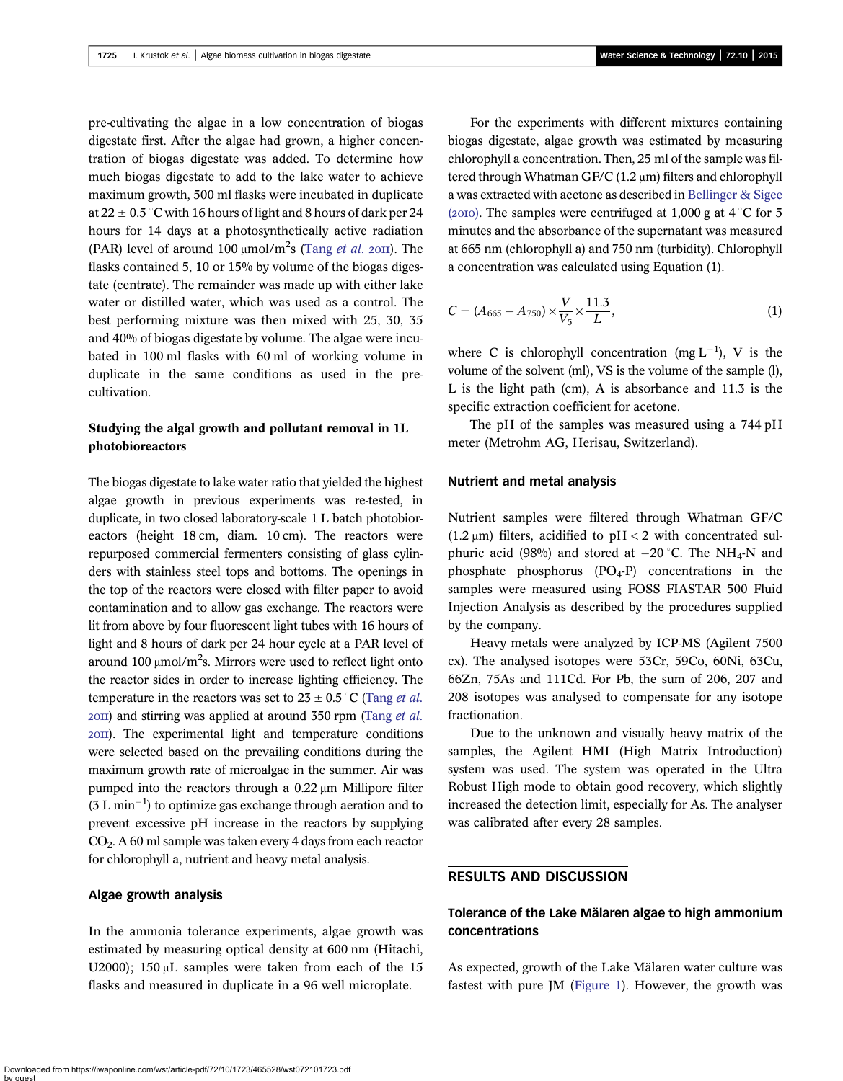pre-cultivating the algae in a low concentration of biogas digestate first. After the algae had grown, a higher concentration of biogas digestate was added. To determine how much biogas digestate to add to the lake water to achieve maximum growth, 500 ml flasks were incubated in duplicate at 22  $\pm$  0.5 °C with 16 hours of light and 8 hours of dark per 24 hours for 14 days at a photosynthetically active radiation (PAR) level of around 100  $\mu$ mol/m<sup>2</sup>s [\(Tang](#page-6-0) et al. 2011). The flasks contained 5, 10 or 15% by volume of the biogas digestate (centrate). The remainder was made up with either lake water or distilled water, which was used as a control. The best performing mixture was then mixed with 25, 30, 35 and 40% of biogas digestate by volume. The algae were incubated in 100 ml flasks with 60 ml of working volume in duplicate in the same conditions as used in the precultivation.

# Studying the algal growth and pollutant removal in 1L photobioreactors

The biogas digestate to lake water ratio that yielded the highest algae growth in previous experiments was re-tested, in duplicate, in two closed laboratory-scale 1 L batch photobioreactors (height 18 cm, diam. 10 cm). The reactors were repurposed commercial fermenters consisting of glass cylinders with stainless steel tops and bottoms. The openings in the top of the reactors were closed with filter paper to avoid contamination and to allow gas exchange. The reactors were lit from above by four fluorescent light tubes with 16 hours of light and 8 hours of dark per 24 hour cycle at a PAR level of around  $100 \mu$ mol/m<sup>2</sup>s. Mirrors were used to reflect light onto the reactor sides in order to increase lighting efficiency. The temperature in the reactors was set to  $23 \pm 0.5$  °C ([Tang](#page-6-0) *et al.*)  $20\text{H}$ ) and stirring was applied at around 350 rpm (Tang *[et al.](#page-6-0)*) ). The experimental light and temperature conditions were selected based on the prevailing conditions during the maximum growth rate of microalgae in the summer. Air was pumped into the reactors through a 0.22 μm Millipore filter  $(3 L min<sup>-1</sup>)$  to optimize gas exchange through aeration and to prevent excessive pH increase in the reactors by supplying CO2. A 60 ml sample was taken every 4 days from each reactor for chlorophyll a, nutrient and heavy metal analysis.

#### Algae growth analysis

In the ammonia tolerance experiments, algae growth was estimated by measuring optical density at 600 nm (Hitachi, U2000);  $150 \mu L$  samples were taken from each of the 15 flasks and measured in duplicate in a 96 well microplate.

For the experiments with different mixtures containing biogas digestate, algae growth was estimated by measuring chlorophyll a concentration. Then, 25 ml of the sample was filtered through Whatman GF/C (1.2 μm) filters and chlorophyll a was extracted with acetone as described in [Bellinger & Sigee](#page-6-0) (2010). The samples were centrifuged at 1,000 g at  $4^{\circ}$ C for 5 minutes and the absorbance of the supernatant was measured at 665 nm (chlorophyll a) and 750 nm (turbidity). Chlorophyll a concentration was calculated using Equation (1).

$$
C = (A_{665} - A_{750}) \times \frac{V}{V_5} \times \frac{11.3}{L},\tag{1}
$$

where C is chlorophyll concentration (mg  $L^{-1}$ ), V is the volume of the solvent (ml), VS is the volume of the sample (l), L is the light path (cm), A is absorbance and 11.3 is the specific extraction coefficient for acetone.

The pH of the samples was measured using a 744 pH meter (Metrohm AG, Herisau, Switzerland).

#### Nutrient and metal analysis

Nutrient samples were filtered through Whatman GF/C (1.2  $\mu$ m) filters, acidified to pH < 2 with concentrated sulphuric acid (98%) and stored at  $-20$  °C. The NH<sub>4</sub>-N and phosphate phosphorus  $(PO<sub>4</sub>-P)$  concentrations in the samples were measured using FOSS FIASTAR 500 Fluid Injection Analysis as described by the procedures supplied by the company.

Heavy metals were analyzed by ICP-MS (Agilent 7500 cx). The analysed isotopes were 53Cr, 59Co, 60Ni, 63Cu, 66Zn, 75As and 111Cd. For Pb, the sum of 206, 207 and 208 isotopes was analysed to compensate for any isotope fractionation.

Due to the unknown and visually heavy matrix of the samples, the Agilent HMI (High Matrix Introduction) system was used. The system was operated in the Ultra Robust High mode to obtain good recovery, which slightly increased the detection limit, especially for As. The analyser was calibrated after every 28 samples.

## RESULTS AND DISCUSSION

# Tolerance of the Lake Mälaren algae to high ammonium concentrations

As expected, growth of the Lake Mälaren water culture was fastest with pure JM [\(Figure 1\)](#page-3-0). However, the growth was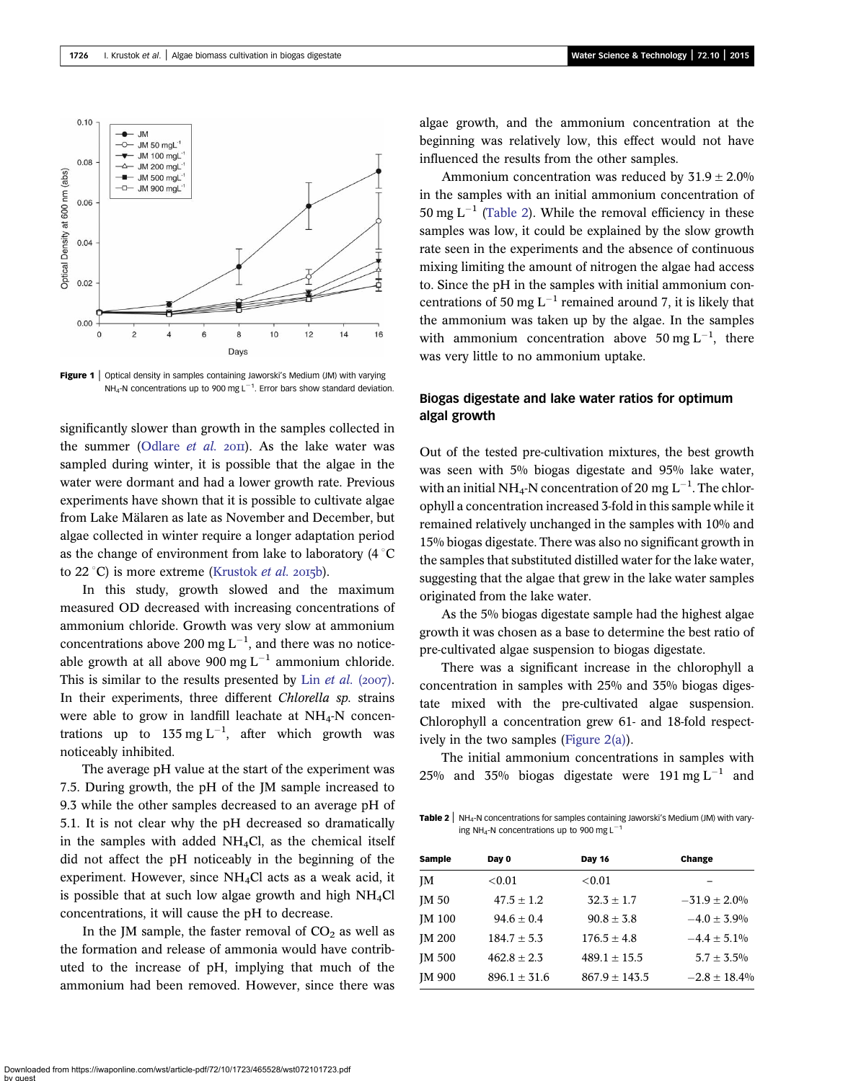<span id="page-3-0"></span>

**Figure 1** | Optical density in samples containing Jaworski's Medium (JM) with varying NH<sub>4</sub>-N concentrations up to 900 mg L<sup>-1</sup>. Error bars show standard deviation.

significantly slower than growth in the samples collected in the summer ([Odlare](#page-6-0) *et al.*  $20\pi$ ). As the lake water was sampled during winter, it is possible that the algae in the water were dormant and had a lower growth rate. Previous experiments have shown that it is possible to cultivate algae from Lake Mälaren as late as November and December, but algae collected in winter require a longer adaptation period as the change of environment from lake to laboratory (4  $\degree$ C to 22 °C) is more extreme ([Krustok](#page-6-0) *et al.* 2015b).

In this study, growth slowed and the maximum measured OD decreased with increasing concentrations of ammonium chloride. Growth was very slow at ammonium concentrations above 200 mg  $L^{-1}$ , and there was no noticeable growth at all above 900 mg  $L^{-1}$  ammonium chloride. This is similar to the results presented by Lin [et al.](#page-6-0)  $(2007)$ . In their experiments, three different Chlorella sp. strains were able to grow in landfill leachate at  $NH_4$ -N concentrations up to 135 mg  $L^{-1}$ , after which growth was noticeably inhibited.

The average pH value at the start of the experiment was 7.5. During growth, the pH of the JM sample increased to 9.3 while the other samples decreased to an average pH of 5.1. It is not clear why the pH decreased so dramatically in the samples with added  $NH<sub>4</sub>Cl$ , as the chemical itself did not affect the pH noticeably in the beginning of the experiment. However, since NH4Cl acts as a weak acid, it is possible that at such low algae growth and high  $NH<sub>4</sub>Cl$ concentrations, it will cause the pH to decrease.

In the JM sample, the faster removal of  $CO<sub>2</sub>$  as well as the formation and release of ammonia would have contributed to the increase of pH, implying that much of the ammonium had been removed. However, since there was algae growth, and the ammonium concentration at the beginning was relatively low, this effect would not have influenced the results from the other samples.

Ammonium concentration was reduced by  $31.9 \pm 2.0\%$ in the samples with an initial ammonium concentration of 50 mg  $L^{-1}$  (Table 2). While the removal efficiency in these samples was low, it could be explained by the slow growth rate seen in the experiments and the absence of continuous mixing limiting the amount of nitrogen the algae had access to. Since the pH in the samples with initial ammonium concentrations of 50 mg  $L^{-1}$  remained around 7, it is likely that the ammonium was taken up by the algae. In the samples with ammonium concentration above 50 mg  $L^{-1}$ , there was very little to no ammonium uptake.

# Biogas digestate and lake water ratios for optimum algal growth

Out of the tested pre-cultivation mixtures, the best growth was seen with 5% biogas digestate and 95% lake water, with an initial NH<sub>4</sub>-N concentration of 20 mg  $L^{-1}$ . The chlorophyll a concentration increased 3-fold in this sample while it remained relatively unchanged in the samples with 10% and 15% biogas digestate. There was also no significant growth in the samples that substituted distilled water for the lake water, suggesting that the algae that grew in the lake water samples originated from the lake water.

As the 5% biogas digestate sample had the highest algae growth it was chosen as a base to determine the best ratio of pre-cultivated algae suspension to biogas digestate.

There was a significant increase in the chlorophyll a concentration in samples with 25% and 35% biogas digestate mixed with the pre-cultivated algae suspension. Chlorophyll a concentration grew 61- and 18-fold respectively in the two samples ([Figure 2\(a\)\)](#page-4-0).

The initial ammonium concentrations in samples with 25% and 35% biogas digestate were 191 mg  $L^{-1}$  and

**Table 2** | NH<sub>4</sub>-N concentrations for samples containing Jaworski's Medium (JM) with varying NH<sub>4</sub>-N concentrations up to 900 mg L<sup>-</sup>

| Sample        | Day 0            | <b>Day 16</b>     | Change            |
|---------------|------------------|-------------------|-------------------|
| JM            | $<$ 0.01         | $<$ 0.01          |                   |
| JM 50         | $47.5 \pm 1.2$   | $32.3 \pm 1.7$    | $-31.9 \pm 2.0\%$ |
| <b>IM 100</b> | $94.6 \pm 0.4$   | $90.8 \pm 3.8$    | $-4.0 \pm 3.9\%$  |
| <b>IM 200</b> | $184.7 \pm 5.3$  | $176.5 \pm 4.8$   | $-4.4 \pm 5.1\%$  |
| <b>IM 500</b> | $462.8 \pm 2.3$  | $489.1 \pm 15.5$  | $5.7 \pm 3.5\%$   |
| <b>IM 900</b> | $896.1 \pm 31.6$ | $867.9 \pm 143.5$ | $-2.8 \pm 18.4\%$ |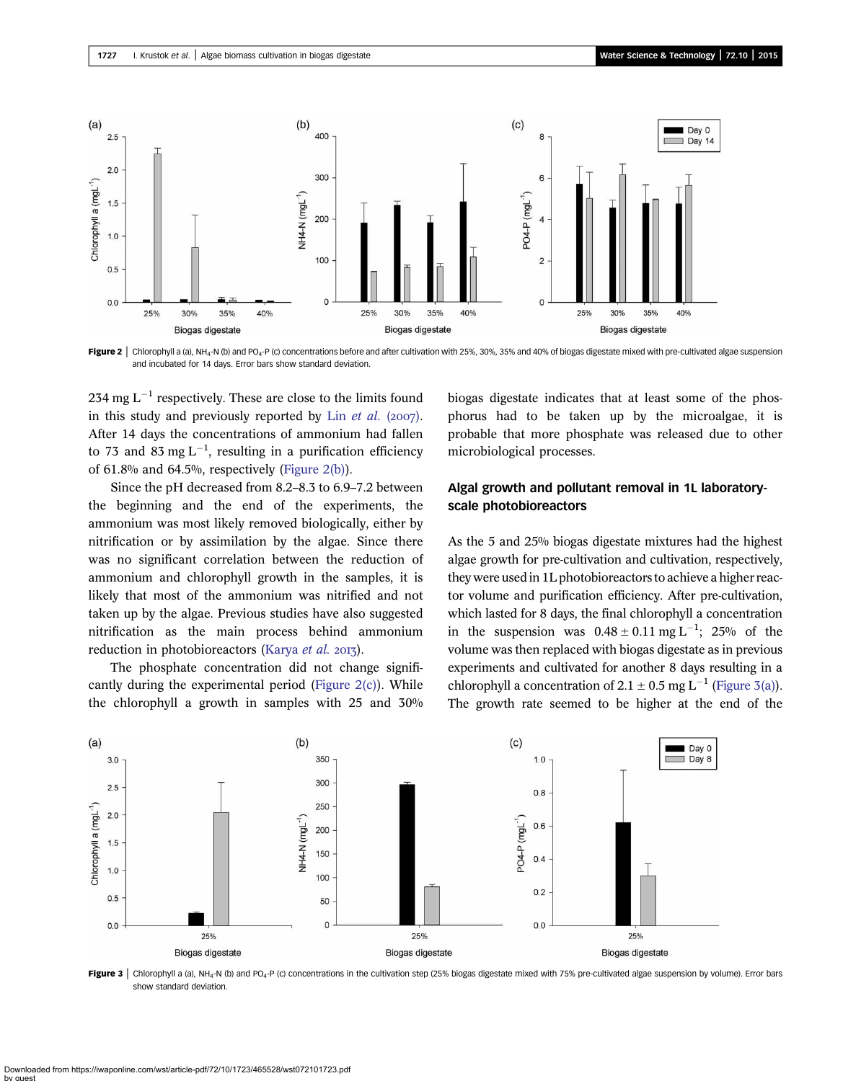<span id="page-4-0"></span>

Figure 2 | Chlorophyll a (a), NH<sub>4</sub>-N (b) and PO<sub>4</sub>-P (c) concentrations before and after cultivation with 25%, 30%, 35% and 40% of biogas digestate mixed with pre-cultivated algae suspension and incubated for 14 days. Error bars show standard deviation.

234 mg  $L^{-1}$  respectively. These are close to the limits found in this study and previously reported by Lin [et al.](#page-6-0)  $(2007)$ . After 14 days the concentrations of ammonium had fallen to 73 and 83 mg  $L^{-1}$ , resulting in a purification efficiency of 61.8% and 64.5%, respectively (Figure 2(b)).

Since the pH decreased from 8.2–8.3 to 6.9–7.2 between the beginning and the end of the experiments, the ammonium was most likely removed biologically, either by nitrification or by assimilation by the algae. Since there was no significant correlation between the reduction of ammonium and chlorophyll growth in the samples, it is likely that most of the ammonium was nitrified and not taken up by the algae. Previous studies have also suggested nitrification as the main process behind ammonium reduction in photobioreactors ([Karya](#page-6-0) et al. 2013).

The phosphate concentration did not change significantly during the experimental period (Figure 2(c)). While the chlorophyll a growth in samples with 25 and 30% biogas digestate indicates that at least some of the phosphorus had to be taken up by the microalgae, it is probable that more phosphate was released due to other microbiological processes.

# Algal growth and pollutant removal in 1L laboratoryscale photobioreactors

As the 5 and 25% biogas digestate mixtures had the highest algae growth for pre-cultivation and cultivation, respectively, they were used in 1L photobioreactors to achieve a higher reactor volume and purification efficiency. After pre-cultivation, which lasted for 8 days, the final chlorophyll a concentration in the suspension was  $0.48 \pm 0.11$  mg L<sup>-1</sup>; 25% of the volume was then replaced with biogas digestate as in previous experiments and cultivated for another 8 days resulting in a chlorophyll a concentration of  $2.1 \pm 0.5$  mg L<sup>-1</sup> (Figure 3(a)). The growth rate seemed to be higher at the end of the



Figure 3 | Chlorophyll a (a), NH<sub>4</sub>-N (b) and PO<sub>4</sub>-P (c) concentrations in the cultivation step (25% biogas digestate mixed with 75% pre-cultivated algae suspension by volume). Error bars show standard deviation.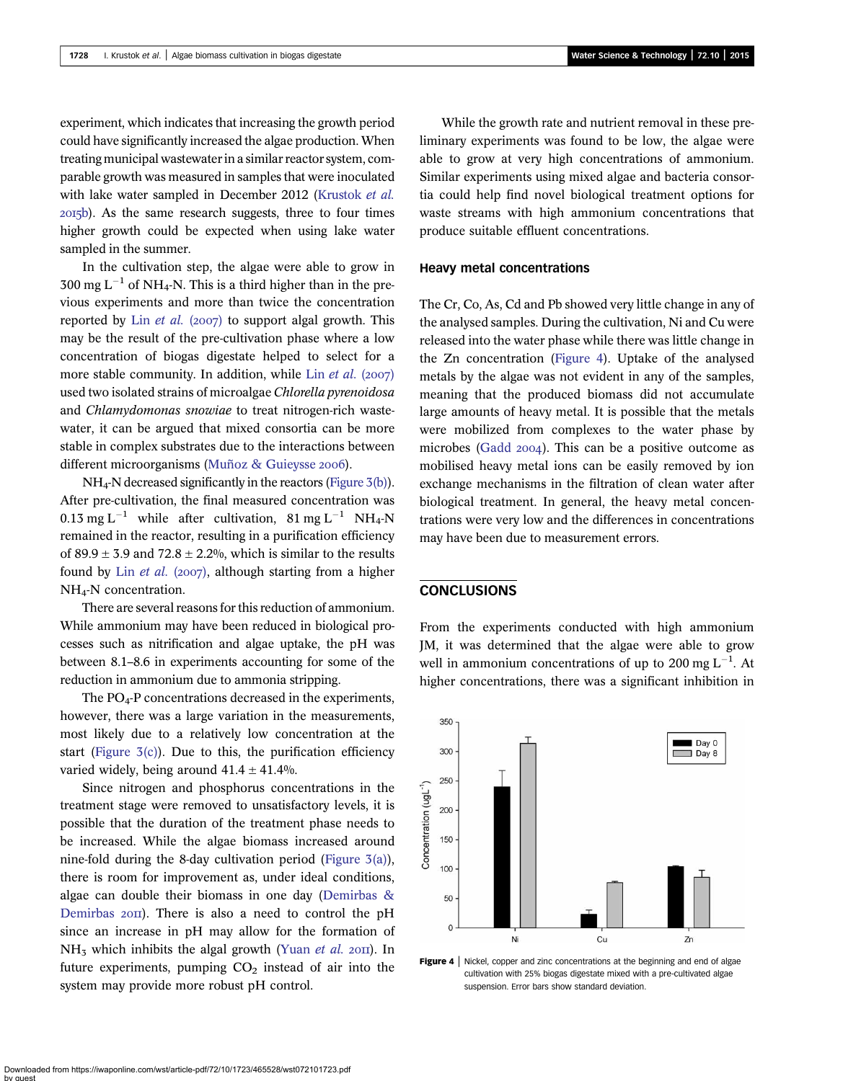experiment, which indicates that increasing the growth period could have significantly increased the algae production. When treating municipal wastewater in a similar reactor system, comparable growth was measured in samples that were inoculated with lake water sampled in December 2012 ([Krustok](#page-6-0) et al. b). As the same research suggests, three to four times higher growth could be expected when using lake water sampled in the summer.

In the cultivation step, the algae were able to grow in 300 mg  $L^{-1}$  of NH<sub>4</sub>-N. This is a third higher than in the previous experiments and more than twice the concentration reported by Lin *[et al.](#page-6-0)* (2007) to support algal growth. This may be the result of the pre-cultivation phase where a low concentration of biogas digestate helped to select for a more stable community. In addition, while Lin [et al.](#page-6-0)  $(2007)$ used two isolated strains of microalgae Chlorella pyrenoidosa and Chlamydomonas snowiae to treat nitrogen-rich wastewater, it can be argued that mixed consortia can be more stable in complex substrates due to the interactions between different microorganisms [\(Muñoz & Guieysse](#page-6-0) 2006).

 $NH_{4}$ -N decreased significantly in the reactors [\(Figure 3\(b\)](#page-4-0)). After pre-cultivation, the final measured concentration was  $0.13 \text{ mg L}^{-1}$  while after cultivation,  $81 \text{ mg L}^{-1} \text{ NH}_4\text{-N}$ remained in the reactor, resulting in a purification efficiency of 89.9  $\pm$  3.9 and 72.8  $\pm$  2.2%, which is similar to the results found by Lin *[et al.](#page-6-0)* (2007), although starting from a higher NH4-N concentration.

There are several reasons for this reduction of ammonium. While ammonium may have been reduced in biological processes such as nitrification and algae uptake, the pH was between 8.1–8.6 in experiments accounting for some of the reduction in ammonium due to ammonia stripping.

The PO<sub>4</sub>-P concentrations decreased in the experiments, however, there was a large variation in the measurements, most likely due to a relatively low concentration at the start (Figure  $3(c)$ ). Due to this, the purification efficiency varied widely, being around  $41.4 \pm 41.4$ %.

Since nitrogen and phosphorus concentrations in the treatment stage were removed to unsatisfactory levels, it is possible that the duration of the treatment phase needs to be increased. While the algae biomass increased around nine-fold during the 8-day cultivation period ([Figure 3\(a\)](#page-4-0)), there is room for improvement as, under ideal conditions, algae can double their biomass in one day [\(Demirbas &](#page-6-0) [Demirbas](#page-6-0) 2011). There is also a need to control the pH since an increase in pH may allow for the formation of  $NH<sub>3</sub>$  which inhibits the algal growth ([Yuan](#page-6-0) et al. 2011). In future experiments, pumping  $CO<sub>2</sub>$  instead of air into the system may provide more robust pH control.

While the growth rate and nutrient removal in these preliminary experiments was found to be low, the algae were able to grow at very high concentrations of ammonium. Similar experiments using mixed algae and bacteria consortia could help find novel biological treatment options for waste streams with high ammonium concentrations that produce suitable effluent concentrations.

#### Heavy metal concentrations

The Cr, Co, As, Cd and Pb showed very little change in any of the analysed samples. During the cultivation, Ni and Cu were released into the water phase while there was little change in the Zn concentration (Figure 4). Uptake of the analysed metals by the algae was not evident in any of the samples, meaning that the produced biomass did not accumulate large amounts of heavy metal. It is possible that the metals were mobilized from complexes to the water phase by microbes [\(Gadd](#page-6-0)  $2004$ ). This can be a positive outcome as mobilised heavy metal ions can be easily removed by ion exchange mechanisms in the filtration of clean water after biological treatment. In general, the heavy metal concentrations were very low and the differences in concentrations may have been due to measurement errors.

# **CONCLUSIONS**

From the experiments conducted with high ammonium JM, it was determined that the algae were able to grow well in ammonium concentrations of up to 200 mg  $L^{-1}$ . At higher concentrations, there was a significant inhibition in



Figure 4 | Nickel, copper and zinc concentrations at the beginning and end of algae cultivation with 25% biogas digestate mixed with a pre-cultivated algae suspension. Error bars show standard deviation.